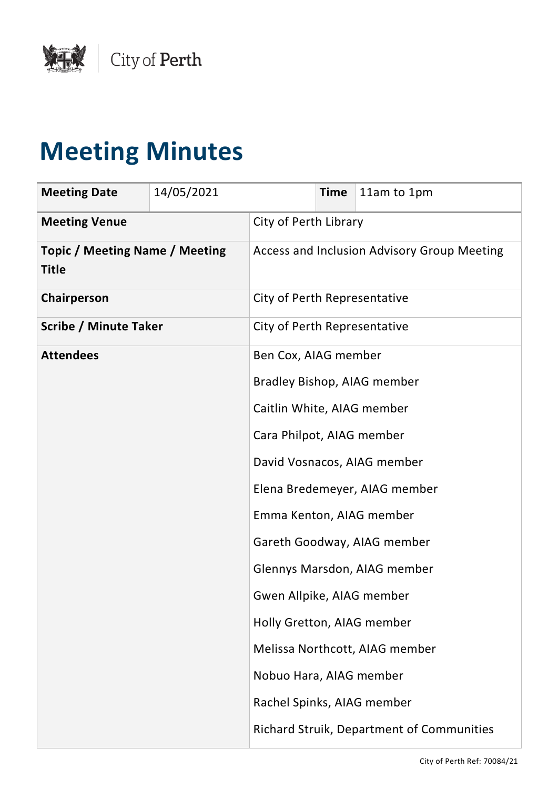

# **Meeting Minutes**

| <b>Meeting Date</b>                                   | 14/05/2021 |                                             | <b>Time</b> | 11am to 1pm                                      |
|-------------------------------------------------------|------------|---------------------------------------------|-------------|--------------------------------------------------|
| <b>Meeting Venue</b>                                  |            | City of Perth Library                       |             |                                                  |
| <b>Topic / Meeting Name / Meeting</b><br><b>Title</b> |            | Access and Inclusion Advisory Group Meeting |             |                                                  |
| Chairperson                                           |            | City of Perth Representative                |             |                                                  |
| <b>Scribe / Minute Taker</b>                          |            | City of Perth Representative                |             |                                                  |
| <b>Attendees</b>                                      |            | Ben Cox, AIAG member                        |             |                                                  |
|                                                       |            |                                             |             | Bradley Bishop, AIAG member                      |
|                                                       |            | Caitlin White, AIAG member                  |             |                                                  |
|                                                       |            | Cara Philpot, AIAG member                   |             |                                                  |
|                                                       |            |                                             |             | David Vosnacos, AIAG member                      |
|                                                       |            |                                             |             | Elena Bredemeyer, AIAG member                    |
|                                                       |            | Emma Kenton, AIAG member                    |             |                                                  |
|                                                       |            |                                             |             | Gareth Goodway, AIAG member                      |
|                                                       |            |                                             |             | Glennys Marsdon, AIAG member                     |
|                                                       |            | Gwen Allpike, AIAG member                   |             |                                                  |
|                                                       |            | Holly Gretton, AIAG member                  |             |                                                  |
|                                                       |            |                                             |             | Melissa Northcott, AIAG member                   |
|                                                       |            | Nobuo Hara, AIAG member                     |             |                                                  |
|                                                       |            | Rachel Spinks, AIAG member                  |             |                                                  |
|                                                       |            |                                             |             | <b>Richard Struik, Department of Communities</b> |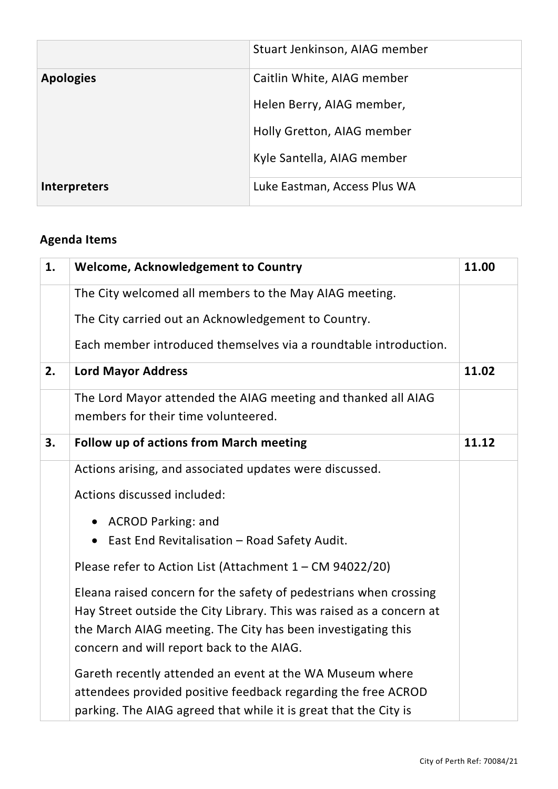|                  | Stuart Jenkinson, AIAG member |
|------------------|-------------------------------|
| <b>Apologies</b> | Caitlin White, AIAG member    |
|                  | Helen Berry, AIAG member,     |
|                  | Holly Gretton, AIAG member    |
|                  | Kyle Santella, AIAG member    |
| Interpreters     | Luke Eastman, Access Plus WA  |

## **Agenda Items**

| 1. | <b>Welcome, Acknowledgement to Country</b>                           | 11.00 |
|----|----------------------------------------------------------------------|-------|
|    | The City welcomed all members to the May AIAG meeting.               |       |
|    | The City carried out an Acknowledgement to Country.                  |       |
|    | Each member introduced themselves via a roundtable introduction.     |       |
| 2. | <b>Lord Mayor Address</b>                                            | 11.02 |
|    | The Lord Mayor attended the AIAG meeting and thanked all AIAG        |       |
|    | members for their time volunteered.                                  |       |
| 3. | <b>Follow up of actions from March meeting</b>                       | 11.12 |
|    | Actions arising, and associated updates were discussed.              |       |
|    | Actions discussed included:                                          |       |
|    | • ACROD Parking: and                                                 |       |
|    | East End Revitalisation - Road Safety Audit.<br>$\bullet$            |       |
|    | Please refer to Action List (Attachment 1 - CM 94022/20)             |       |
|    | Eleana raised concern for the safety of pedestrians when crossing    |       |
|    | Hay Street outside the City Library. This was raised as a concern at |       |
|    | the March AIAG meeting. The City has been investigating this         |       |
|    | concern and will report back to the AIAG.                            |       |
|    | Gareth recently attended an event at the WA Museum where             |       |
|    | attendees provided positive feedback regarding the free ACROD        |       |
|    | parking. The AIAG agreed that while it is great that the City is     |       |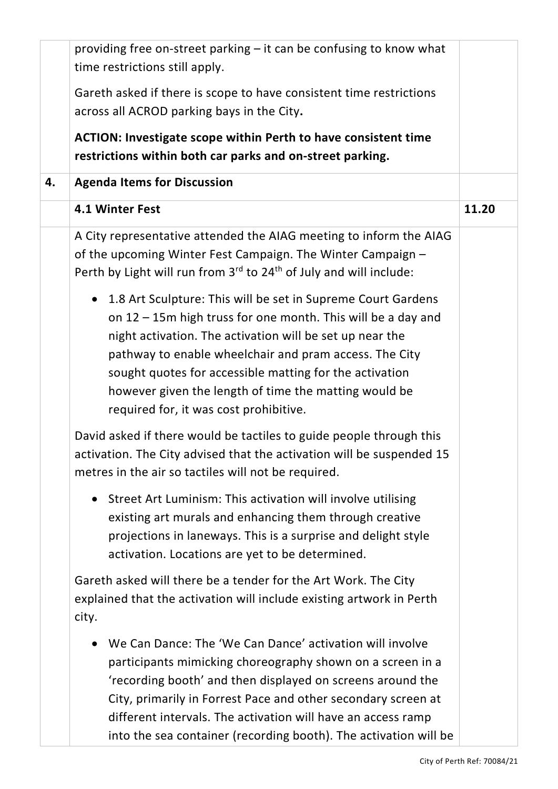|    | providing free on-street parking – it can be confusing to know what                                                                                                                                                                                                                                                                                                                                                           |       |
|----|-------------------------------------------------------------------------------------------------------------------------------------------------------------------------------------------------------------------------------------------------------------------------------------------------------------------------------------------------------------------------------------------------------------------------------|-------|
|    | time restrictions still apply.                                                                                                                                                                                                                                                                                                                                                                                                |       |
|    | Gareth asked if there is scope to have consistent time restrictions                                                                                                                                                                                                                                                                                                                                                           |       |
|    | across all ACROD parking bays in the City.                                                                                                                                                                                                                                                                                                                                                                                    |       |
|    | <b>ACTION: Investigate scope within Perth to have consistent time</b>                                                                                                                                                                                                                                                                                                                                                         |       |
|    | restrictions within both car parks and on-street parking.                                                                                                                                                                                                                                                                                                                                                                     |       |
| 4. | <b>Agenda Items for Discussion</b>                                                                                                                                                                                                                                                                                                                                                                                            |       |
|    | 4.1 Winter Fest                                                                                                                                                                                                                                                                                                                                                                                                               | 11.20 |
|    | A City representative attended the AIAG meeting to inform the AIAG<br>of the upcoming Winter Fest Campaign. The Winter Campaign -<br>Perth by Light will run from 3rd to 24 <sup>th</sup> of July and will include:                                                                                                                                                                                                           |       |
|    | 1.8 Art Sculpture: This will be set in Supreme Court Gardens<br>$\bullet$<br>on 12 - 15m high truss for one month. This will be a day and<br>night activation. The activation will be set up near the<br>pathway to enable wheelchair and pram access. The City<br>sought quotes for accessible matting for the activation<br>however given the length of time the matting would be<br>required for, it was cost prohibitive. |       |
|    | David asked if there would be tactiles to guide people through this<br>activation. The City advised that the activation will be suspended 15<br>metres in the air so tactiles will not be required.                                                                                                                                                                                                                           |       |
|    | Street Art Luminism: This activation will involve utilising<br>$\bullet$<br>existing art murals and enhancing them through creative<br>projections in laneways. This is a surprise and delight style<br>activation. Locations are yet to be determined.                                                                                                                                                                       |       |
|    | Gareth asked will there be a tender for the Art Work. The City<br>explained that the activation will include existing artwork in Perth<br>city.                                                                                                                                                                                                                                                                               |       |
|    | We Can Dance: The 'We Can Dance' activation will involve<br>$\bullet$<br>participants mimicking choreography shown on a screen in a<br>'recording booth' and then displayed on screens around the<br>City, primarily in Forrest Pace and other secondary screen at<br>different intervals. The activation will have an access ramp<br>into the sea container (recording booth). The activation will be                        |       |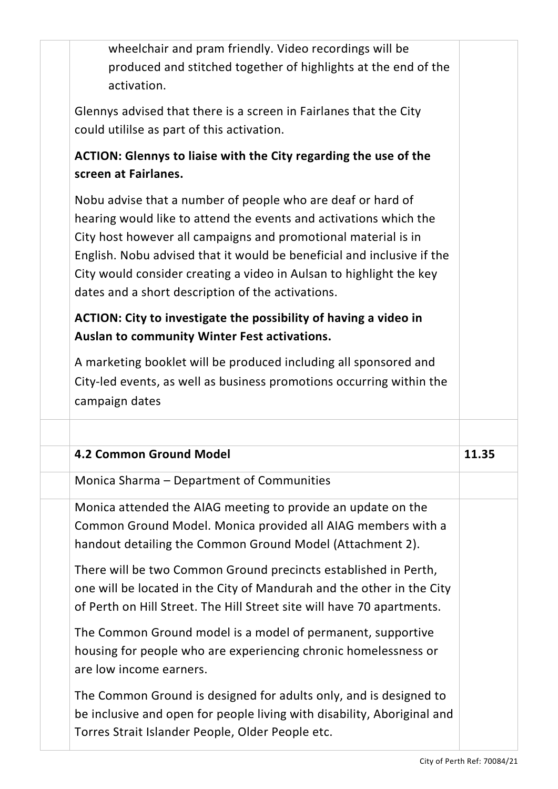| wheelchair and pram friendly. Video recordings will be<br>produced and stitched together of highlights at the end of the<br>activation.                                                                                                                                                                                                                                                                  |       |
|----------------------------------------------------------------------------------------------------------------------------------------------------------------------------------------------------------------------------------------------------------------------------------------------------------------------------------------------------------------------------------------------------------|-------|
| Glennys advised that there is a screen in Fairlanes that the City<br>could utililse as part of this activation.                                                                                                                                                                                                                                                                                          |       |
| ACTION: Glennys to liaise with the City regarding the use of the<br>screen at Fairlanes.                                                                                                                                                                                                                                                                                                                 |       |
| Nobu advise that a number of people who are deaf or hard of<br>hearing would like to attend the events and activations which the<br>City host however all campaigns and promotional material is in<br>English. Nobu advised that it would be beneficial and inclusive if the<br>City would consider creating a video in Aulsan to highlight the key<br>dates and a short description of the activations. |       |
| ACTION: City to investigate the possibility of having a video in<br>Auslan to community Winter Fest activations.                                                                                                                                                                                                                                                                                         |       |
| A marketing booklet will be produced including all sponsored and<br>City-led events, as well as business promotions occurring within the<br>campaign dates                                                                                                                                                                                                                                               |       |
|                                                                                                                                                                                                                                                                                                                                                                                                          |       |
|                                                                                                                                                                                                                                                                                                                                                                                                          |       |
| 4.2 Common Ground Model                                                                                                                                                                                                                                                                                                                                                                                  | 11.35 |
| Monica Sharma - Department of Communities                                                                                                                                                                                                                                                                                                                                                                |       |
| Monica attended the AIAG meeting to provide an update on the<br>Common Ground Model. Monica provided all AIAG members with a<br>handout detailing the Common Ground Model (Attachment 2).                                                                                                                                                                                                                |       |
| There will be two Common Ground precincts established in Perth,<br>one will be located in the City of Mandurah and the other in the City<br>of Perth on Hill Street. The Hill Street site will have 70 apartments.                                                                                                                                                                                       |       |
| The Common Ground model is a model of permanent, supportive<br>housing for people who are experiencing chronic homelessness or<br>are low income earners.                                                                                                                                                                                                                                                |       |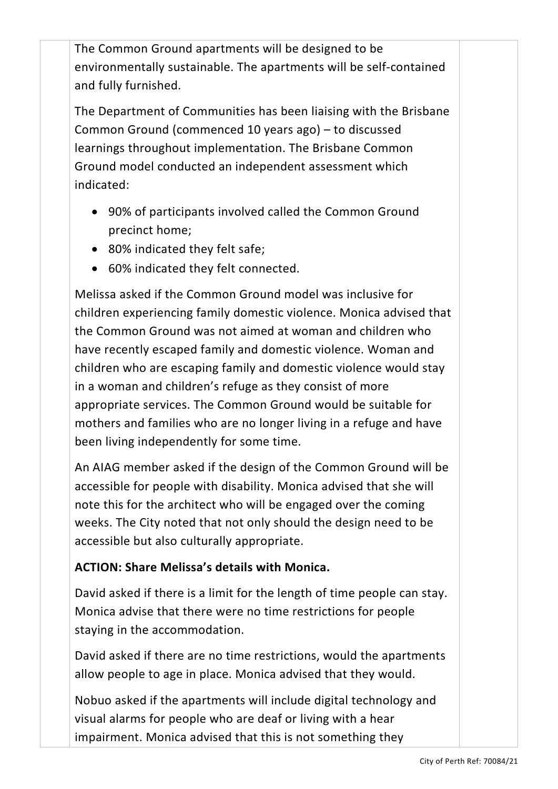The Common Ground apartments will be designed to be environmentally sustainable. The apartments will be self-contained and fully furnished.

The Department of Communities has been liaising with the Brisbane Common Ground (commenced 10 years ago) – to discussed learnings throughout implementation. The Brisbane Common Ground model conducted an independent assessment which indicated:

- 90% of participants involved called the Common Ground precinct home;
- 80% indicated they felt safe;
- 60% indicated they felt connected.

Melissa asked if the Common Ground model was inclusive for children experiencing family domestic violence. Monica advised that the Common Ground was not aimed at woman and children who have recently escaped family and domestic violence. Woman and children who are escaping family and domestic violence would stay in a woman and children's refuge as they consist of more appropriate services. The Common Ground would be suitable for mothers and families who are no longer living in a refuge and have been living independently for some time.

An AIAG member asked if the design of the Common Ground will be accessible for people with disability. Monica advised that she will note this for the architect who will be engaged over the coming weeks. The City noted that not only should the design need to be accessible but also culturally appropriate.

#### **ACTION: Share Melissa's details with Monica.**

David asked if there is a limit for the length of time people can stay. Monica advise that there were no time restrictions for people staying in the accommodation.

David asked if there are no time restrictions, would the apartments allow people to age in place. Monica advised that they would.

Nobuo asked if the apartments will include digital technology and visual alarms for people who are deaf or living with a hear impairment. Monica advised that this is not something they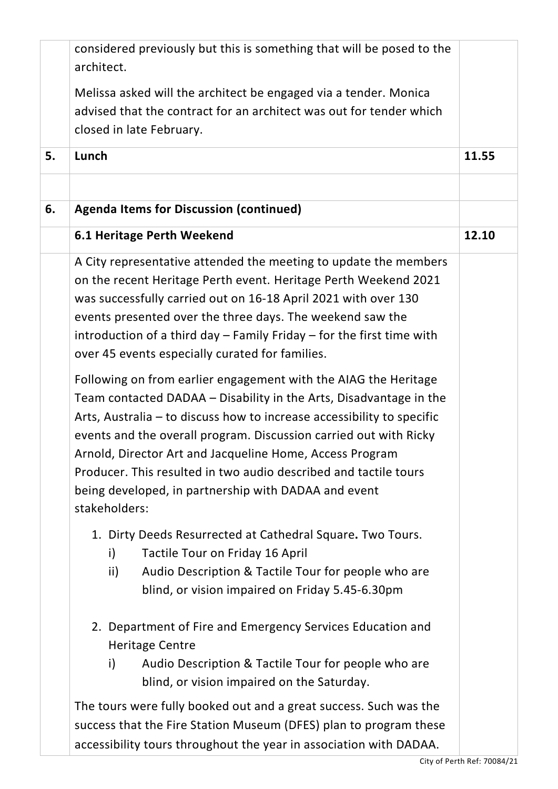|    | considered previously but this is something that will be posed to the<br>architect.                                                                                                                                                                                                                                                                                                                                                                                                           |       |
|----|-----------------------------------------------------------------------------------------------------------------------------------------------------------------------------------------------------------------------------------------------------------------------------------------------------------------------------------------------------------------------------------------------------------------------------------------------------------------------------------------------|-------|
|    | Melissa asked will the architect be engaged via a tender. Monica                                                                                                                                                                                                                                                                                                                                                                                                                              |       |
|    | advised that the contract for an architect was out for tender which                                                                                                                                                                                                                                                                                                                                                                                                                           |       |
|    | closed in late February.                                                                                                                                                                                                                                                                                                                                                                                                                                                                      |       |
| 5. | Lunch                                                                                                                                                                                                                                                                                                                                                                                                                                                                                         | 11.55 |
|    |                                                                                                                                                                                                                                                                                                                                                                                                                                                                                               |       |
| 6. | <b>Agenda Items for Discussion (continued)</b>                                                                                                                                                                                                                                                                                                                                                                                                                                                |       |
|    | 6.1 Heritage Perth Weekend                                                                                                                                                                                                                                                                                                                                                                                                                                                                    | 12.10 |
|    | A City representative attended the meeting to update the members<br>on the recent Heritage Perth event. Heritage Perth Weekend 2021<br>was successfully carried out on 16-18 April 2021 with over 130<br>events presented over the three days. The weekend saw the<br>introduction of a third day $-$ Family Friday $-$ for the first time with<br>over 45 events especially curated for families.                                                                                            |       |
|    | Following on from earlier engagement with the AIAG the Heritage<br>Team contacted DADAA - Disability in the Arts, Disadvantage in the<br>Arts, Australia – to discuss how to increase accessibility to specific<br>events and the overall program. Discussion carried out with Ricky<br>Arnold, Director Art and Jacqueline Home, Access Program<br>Producer. This resulted in two audio described and tactile tours<br>being developed, in partnership with DADAA and event<br>stakeholders: |       |
|    | 1. Dirty Deeds Resurrected at Cathedral Square. Two Tours.<br>Tactile Tour on Friday 16 April<br>i)<br>Audio Description & Tactile Tour for people who are<br>ii)<br>blind, or vision impaired on Friday 5.45-6.30pm                                                                                                                                                                                                                                                                          |       |
|    | 2. Department of Fire and Emergency Services Education and<br><b>Heritage Centre</b><br>Audio Description & Tactile Tour for people who are<br>i)<br>blind, or vision impaired on the Saturday.                                                                                                                                                                                                                                                                                               |       |
|    | The tours were fully booked out and a great success. Such was the                                                                                                                                                                                                                                                                                                                                                                                                                             |       |
|    | success that the Fire Station Museum (DFES) plan to program these                                                                                                                                                                                                                                                                                                                                                                                                                             |       |
|    | accessibility tours throughout the year in association with DADAA.                                                                                                                                                                                                                                                                                                                                                                                                                            |       |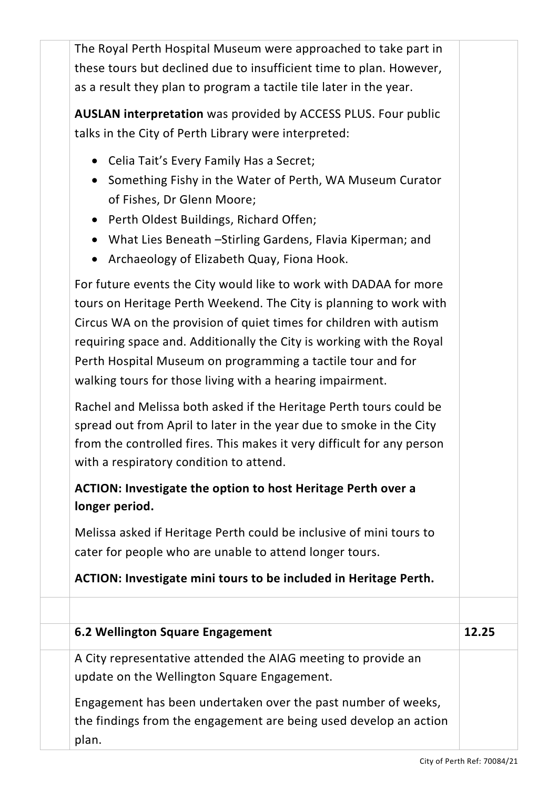The Royal Perth Hospital Museum were approached to take part in these tours but declined due to insufficient time to plan. However, as a result they plan to program a tactile tile later in the year.

**AUSLAN interpretation** was provided by ACCESS PLUS. Four public talks in the City of Perth Library were interpreted:

- Celia Tait's Every Family Has a Secret;
- Something Fishy in the Water of Perth, WA Museum Curator of Fishes, Dr Glenn Moore;
- Perth Oldest Buildings, Richard Offen;
- What Lies Beneath –Stirling Gardens, Flavia Kiperman; and
- Archaeology of Elizabeth Quay, Fiona Hook.

For future events the City would like to work with DADAA for more tours on Heritage Perth Weekend. The City is planning to work with Circus WA on the provision of quiet times for children with autism requiring space and. Additionally the City is working with the Royal Perth Hospital Museum on programming a tactile tour and for walking tours for those living with a hearing impairment.

Rachel and Melissa both asked if the Heritage Perth tours could be spread out from April to later in the year due to smoke in the City from the controlled fires. This makes it very difficult for any person with a respiratory condition to attend.

## **ACTION: Investigate the option to host Heritage Perth over a longer period.**

Melissa asked if Heritage Perth could be inclusive of mini tours to cater for people who are unable to attend longer tours.

### **ACTION: Investigate mini tours to be included in Heritage Perth.**

| 6.2 Wellington Square Engagement                                                                                                            | 12.25 |
|---------------------------------------------------------------------------------------------------------------------------------------------|-------|
| A City representative attended the AIAG meeting to provide an<br>update on the Wellington Square Engagement.                                |       |
| Engagement has been undertaken over the past number of weeks,<br>the findings from the engagement are being used develop an action<br>plan. |       |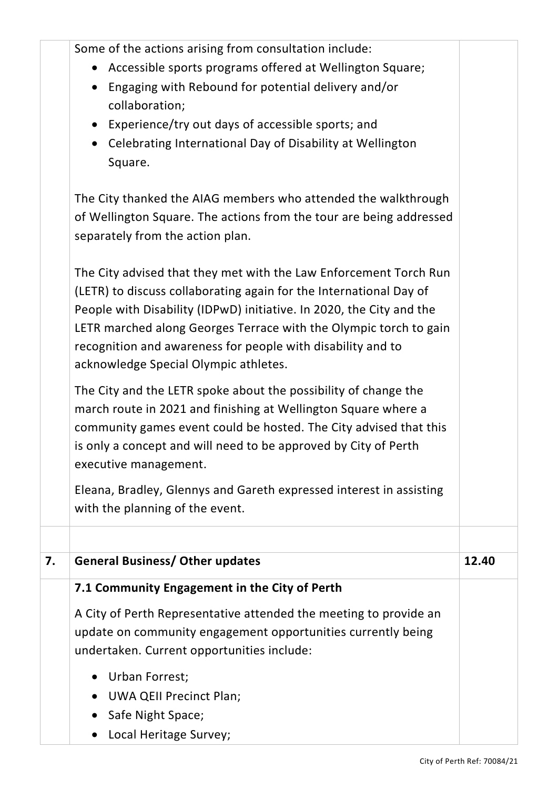|    | Some of the actions arising from consultation include:                                                                                                                                                                                                                                                                                                                                       |       |
|----|----------------------------------------------------------------------------------------------------------------------------------------------------------------------------------------------------------------------------------------------------------------------------------------------------------------------------------------------------------------------------------------------|-------|
|    | Accessible sports programs offered at Wellington Square;<br>$\bullet$                                                                                                                                                                                                                                                                                                                        |       |
|    | Engaging with Rebound for potential delivery and/or<br>$\bullet$<br>collaboration;                                                                                                                                                                                                                                                                                                           |       |
|    | Experience/try out days of accessible sports; and<br>$\bullet$                                                                                                                                                                                                                                                                                                                               |       |
|    | Celebrating International Day of Disability at Wellington<br>$\bullet$<br>Square.                                                                                                                                                                                                                                                                                                            |       |
|    | The City thanked the AIAG members who attended the walkthrough                                                                                                                                                                                                                                                                                                                               |       |
|    | of Wellington Square. The actions from the tour are being addressed                                                                                                                                                                                                                                                                                                                          |       |
|    | separately from the action plan.                                                                                                                                                                                                                                                                                                                                                             |       |
|    | The City advised that they met with the Law Enforcement Torch Run<br>(LETR) to discuss collaborating again for the International Day of<br>People with Disability (IDPwD) initiative. In 2020, the City and the<br>LETR marched along Georges Terrace with the Olympic torch to gain<br>recognition and awareness for people with disability and to<br>acknowledge Special Olympic athletes. |       |
|    | The City and the LETR spoke about the possibility of change the<br>march route in 2021 and finishing at Wellington Square where a<br>community games event could be hosted. The City advised that this<br>is only a concept and will need to be approved by City of Perth<br>executive management.                                                                                           |       |
|    | Eleana, Bradley, Glennys and Gareth expressed interest in assisting<br>with the planning of the event.                                                                                                                                                                                                                                                                                       |       |
|    |                                                                                                                                                                                                                                                                                                                                                                                              |       |
| 7. | <b>General Business/ Other updates</b>                                                                                                                                                                                                                                                                                                                                                       | 12.40 |
|    | 7.1 Community Engagement in the City of Perth                                                                                                                                                                                                                                                                                                                                                |       |
|    | A City of Perth Representative attended the meeting to provide an                                                                                                                                                                                                                                                                                                                            |       |
|    | update on community engagement opportunities currently being                                                                                                                                                                                                                                                                                                                                 |       |
|    | undertaken. Current opportunities include:                                                                                                                                                                                                                                                                                                                                                   |       |
|    | <b>Urban Forrest;</b>                                                                                                                                                                                                                                                                                                                                                                        |       |
|    | <b>UWA QEII Precinct Plan;</b>                                                                                                                                                                                                                                                                                                                                                               |       |
|    | Safe Night Space;                                                                                                                                                                                                                                                                                                                                                                            |       |
|    | Local Heritage Survey;<br>$\bullet$                                                                                                                                                                                                                                                                                                                                                          |       |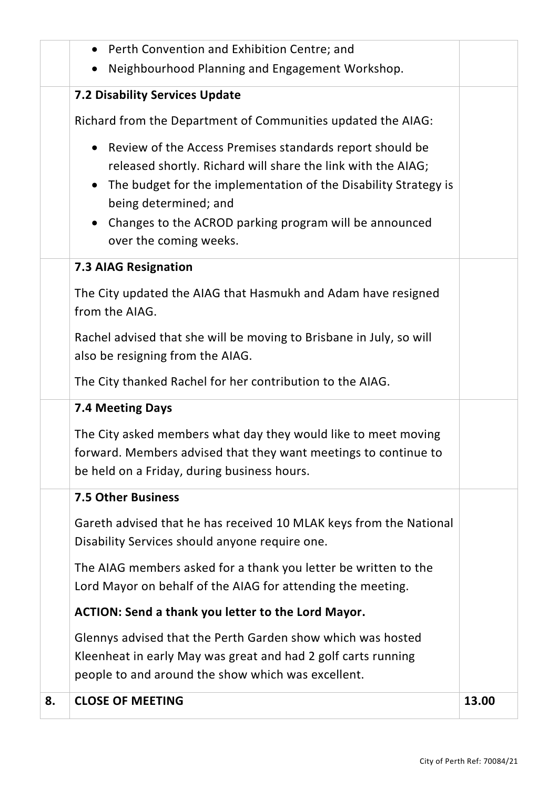|    | Perth Convention and Exhibition Centre; and<br>$\bullet$<br>Neighbourhood Planning and Engagement Workshop.<br>$\bullet$                                                                                                                                                                                                                        |       |
|----|-------------------------------------------------------------------------------------------------------------------------------------------------------------------------------------------------------------------------------------------------------------------------------------------------------------------------------------------------|-------|
|    | <b>7.2 Disability Services Update</b>                                                                                                                                                                                                                                                                                                           |       |
|    |                                                                                                                                                                                                                                                                                                                                                 |       |
|    | Richard from the Department of Communities updated the AIAG:                                                                                                                                                                                                                                                                                    |       |
|    | Review of the Access Premises standards report should be<br>$\bullet$<br>released shortly. Richard will share the link with the AIAG;<br>The budget for the implementation of the Disability Strategy is<br>$\bullet$<br>being determined; and<br>Changes to the ACROD parking program will be announced<br>$\bullet$<br>over the coming weeks. |       |
|    | <b>7.3 AIAG Resignation</b>                                                                                                                                                                                                                                                                                                                     |       |
|    | The City updated the AIAG that Hasmukh and Adam have resigned<br>from the AIAG.                                                                                                                                                                                                                                                                 |       |
|    | Rachel advised that she will be moving to Brisbane in July, so will<br>also be resigning from the AIAG.                                                                                                                                                                                                                                         |       |
|    | The City thanked Rachel for her contribution to the AIAG.                                                                                                                                                                                                                                                                                       |       |
|    | 7.4 Meeting Days                                                                                                                                                                                                                                                                                                                                |       |
|    | The City asked members what day they would like to meet moving<br>forward. Members advised that they want meetings to continue to<br>be held on a Friday, during business hours.                                                                                                                                                                |       |
|    | <b>7.5 Other Business</b>                                                                                                                                                                                                                                                                                                                       |       |
|    | Gareth advised that he has received 10 MLAK keys from the National<br>Disability Services should anyone require one.                                                                                                                                                                                                                            |       |
|    | The AIAG members asked for a thank you letter be written to the<br>Lord Mayor on behalf of the AIAG for attending the meeting.                                                                                                                                                                                                                  |       |
|    | <b>ACTION: Send a thank you letter to the Lord Mayor.</b>                                                                                                                                                                                                                                                                                       |       |
|    | Glennys advised that the Perth Garden show which was hosted<br>Kleenheat in early May was great and had 2 golf carts running<br>people to and around the show which was excellent.                                                                                                                                                              |       |
| 8. | <b>CLOSE OF MEETING</b>                                                                                                                                                                                                                                                                                                                         | 13.00 |